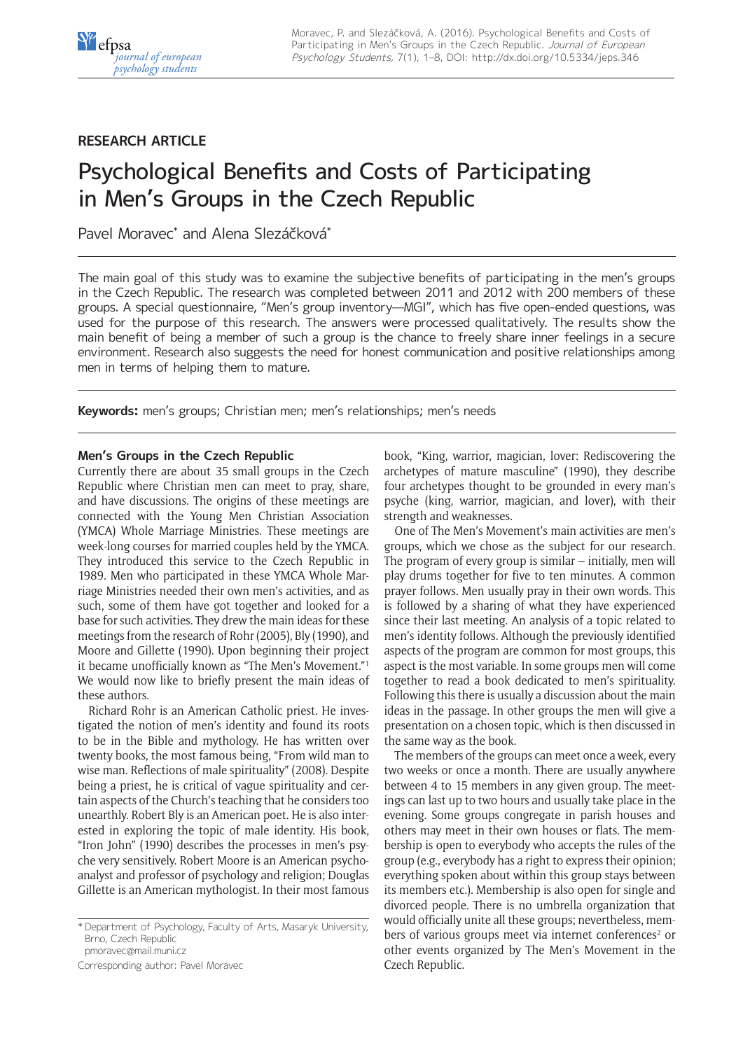# **RESEARCH ARTICLE**

# Psychological Benefits and Costs of Participating in Men's Groups in the Czech Republic

Pavel Moravec\* and Alena Slezáčková\*

The main goal of this study was to examine the subjective benefits of participating in the men's groups in the Czech Republic. The research was completed between 2011 and 2012 with 200 members of these groups. A special questionnaire, "Men's group inventory—MGI", which has five open-ended questions, was used for the purpose of this research. The answers were processed qualitatively. The results show the main benefit of being a member of such a group is the chance to freely share inner feelings in a secure environment. Research also suggests the need for honest communication and positive relationships among men in terms of helping them to mature.

**Keywords:** men's groups; Christian men; men's relationships; men's needs

### **Men's Groups in the Czech Republic**

Currently there are about 35 small groups in the Czech Republic where Christian men can meet to pray, share, and have discussions. The origins of these meetings are connected with the Young Men Christian Association (YMCA) Whole Marriage Ministries. These meetings are week-long courses for married couples held by the YMCA. They introduced this service to the Czech Republic in 1989. Men who participated in these YMCA Whole Marriage Ministries needed their own men's activities, and as such, some of them have got together and looked for a base for such activities. They drew the main ideas for these meetings from the research of Rohr (2005), Bly (1990), and Moore and Gillette (1990). Upon beginning their project it became unofficially known as "The Men's Movement."1 We would now like to briefly present the main ideas of these authors.

Richard Rohr is an American Catholic priest. He investigated the notion of men's identity and found its roots to be in the Bible and mythology. He has written over twenty books, the most famous being, "From wild man to wise man. Reflections of male spirituality" (2008). Despite being a priest, he is critical of vague spirituality and certain aspects of the Church's teaching that he considers too unearthly. Robert Bly is an American poet. He is also interested in exploring the topic of male identity. His book, "Iron John" (1990) describes the processes in men's psyche very sensitively. Robert Moore is an American psychoanalyst and professor of psychology and religion; Douglas Gillette is an American mythologist. In their most famous

[pmoravec@mail.muni.cz](mailto:pmoravec@mail.muni.cz)

Corresponding author: Pavel Moravec

book, "King, warrior, magician, lover: Rediscovering the archetypes of mature masculine" (1990), they describe four archetypes thought to be grounded in every man's psyche (king, warrior, magician, and lover), with their strength and weaknesses.

One of The Men's Movement's main activities are men's groups, which we chose as the subject for our research. The program of every group is similar – initially, men will play drums together for five to ten minutes. A common prayer follows. Men usually pray in their own words. This is followed by a sharing of what they have experienced since their last meeting. An analysis of a topic related to men's identity follows. Although the previously identified aspects of the program are common for most groups, this aspect is the most variable. In some groups men will come together to read a book dedicated to men's spirituality. Following this there is usually a discussion about the main ideas in the passage. In other groups the men will give a presentation on a chosen topic, which is then discussed in the same way as the book.

The members of the groups can meet once a week, every two weeks or once a month. There are usually anywhere between 4 to 15 members in any given group. The meetings can last up to two hours and usually take place in the evening. Some groups congregate in parish houses and others may meet in their own houses or flats. The membership is open to everybody who accepts the rules of the group (e.g., everybody has a right to express their opinion; everything spoken about within this group stays between its members etc.). Membership is also open for single and divorced people. There is no umbrella organization that would officially unite all these groups; nevertheless, members of various groups meet via internet conferences<sup>2</sup> or other events organized by The Men's Movement in the Czech Republic.

<sup>\*</sup> Department of Psychology, Faculty of Arts, Masaryk University, Brno, Czech Republic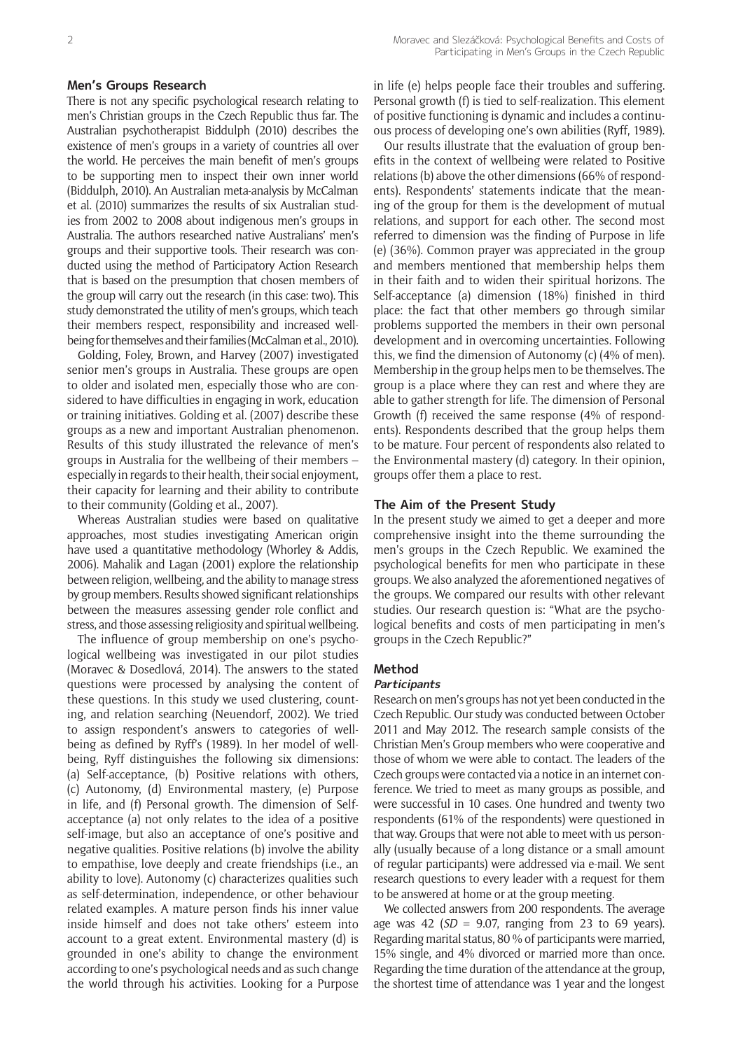#### **Men's Groups Research**

There is not any specific psychological research relating to men's Christian groups in the Czech Republic thus far. The Australian psychotherapist Biddulph (2010) describes the existence of men's groups in a variety of countries all over the world. He perceives the main benefit of men's groups to be supporting men to inspect their own inner world (Biddulph, 2010). An Australian meta-analysis by McCalman et al. (2010) summarizes the results of six Australian studies from 2002 to 2008 about indigenous men's groups in Australia. The authors researched native Australians' men's groups and their supportive tools. Their research was conducted using the method of Participatory Action Research that is based on the presumption that chosen members of the group will carry out the research (in this case: two). This study demonstrated the utility of men's groups, which teach their members respect, responsibility and increased wellbeing for themselves and their families (McCalman et al., 2010).

Golding, Foley, Brown, and Harvey (2007) investigated senior men's groups in Australia. These groups are open to older and isolated men, especially those who are considered to have difficulties in engaging in work, education or training initiatives. Golding et al. (2007) describe these groups as a new and important Australian phenomenon. Results of this study illustrated the relevance of men's groups in Australia for the wellbeing of their members – especially in regards to their health, their social enjoyment, their capacity for learning and their ability to contribute to their community (Golding et al., 2007).

Whereas Australian studies were based on qualitative approaches, most studies investigating American origin have used a quantitative methodology (Whorley & Addis, 2006). Mahalik and Lagan (2001) explore the relationship between religion, wellbeing, and the ability to manage stress by group members. Results showed significant relationships between the measures assessing gender role conflict and stress, and those assessing religiosity and spiritual wellbeing.

The influence of group membership on one's psychological wellbeing was investigated in our pilot studies (Moravec & Dosedlová, 2014). The answers to the stated questions were processed by analysing the content of these questions. In this study we used clustering, counting, and relation searching (Neuendorf, 2002). We tried to assign respondent's answers to categories of wellbeing as defined by Ryff's (1989). In her model of wellbeing, Ryff distinguishes the following six dimensions: (a) Self-acceptance, (b) Positive relations with others, (c) Autonomy, (d) Environmental mastery, (e) Purpose in life, and (f) Personal growth. The dimension of Selfacceptance (a) not only relates to the idea of a positive self-image, but also an acceptance of one's positive and negative qualities. Positive relations (b) involve the ability to empathise, love deeply and create friendships (i.e., an ability to love). Autonomy (c) characterizes qualities such as self-determination, independence, or other behaviour related examples. A mature person finds his inner value inside himself and does not take others' esteem into account to a great extent. Environmental mastery (d) is grounded in one's ability to change the environment according to one's psychological needs and as such change the world through his activities. Looking for a Purpose in life (e) helps people face their troubles and suffering. Personal growth (f) is tied to self-realization. This element of positive functioning is dynamic and includes a continuous process of developing one's own abilities (Ryff, 1989).

Our results illustrate that the evaluation of group benefits in the context of wellbeing were related to Positive relations (b) above the other dimensions (66% of respondents). Respondents' statements indicate that the meaning of the group for them is the development of mutual relations, and support for each other. The second most referred to dimension was the finding of Purpose in life (e) (36%). Common prayer was appreciated in the group and members mentioned that membership helps them in their faith and to widen their spiritual horizons. The Self-acceptance (a) dimension (18%) finished in third place: the fact that other members go through similar problems supported the members in their own personal development and in overcoming uncertainties. Following this, we find the dimension of Autonomy (c) (4% of men). Membership in the group helps men to be themselves. The group is a place where they can rest and where they are able to gather strength for life. The dimension of Personal Growth (f) received the same response (4% of respondents). Respondents described that the group helps them to be mature. Four percent of respondents also related to the Environmental mastery (d) category. In their opinion, groups offer them a place to rest.

#### **The Aim of the Present Study**

In the present study we aimed to get a deeper and more comprehensive insight into the theme surrounding the men's groups in the Czech Republic. We examined the psychological benefits for men who participate in these groups. We also analyzed the aforementioned negatives of the groups. We compared our results with other relevant studies. Our research question is: "What are the psychological benefits and costs of men participating in men's groups in the Czech Republic?"

#### **Method**

#### **Participants**

Research on men's groups has not yet been conducted in the Czech Republic. Our study was conducted between October 2011 and May 2012. The research sample consists of the Christian Men's Group members who were cooperative and those of whom we were able to contact. The leaders of the Czech groups were contacted via a notice in an internet conference. We tried to meet as many groups as possible, and were successful in 10 cases. One hundred and twenty two respondents (61% of the respondents) were questioned in that way. Groups that were not able to meet with us personally (usually because of a long distance or a small amount of regular participants) were addressed via e-mail. We sent research questions to every leader with a request for them to be answered at home or at the group meeting.

We collected answers from 200 respondents. The average age was 42 (*SD =* 9.07, ranging from 23 to 69 years). Regarding marital status, 80 % of participants were married, 15% single, and 4% divorced or married more than once. Regarding the time duration of the attendance at the group, the shortest time of attendance was 1 year and the longest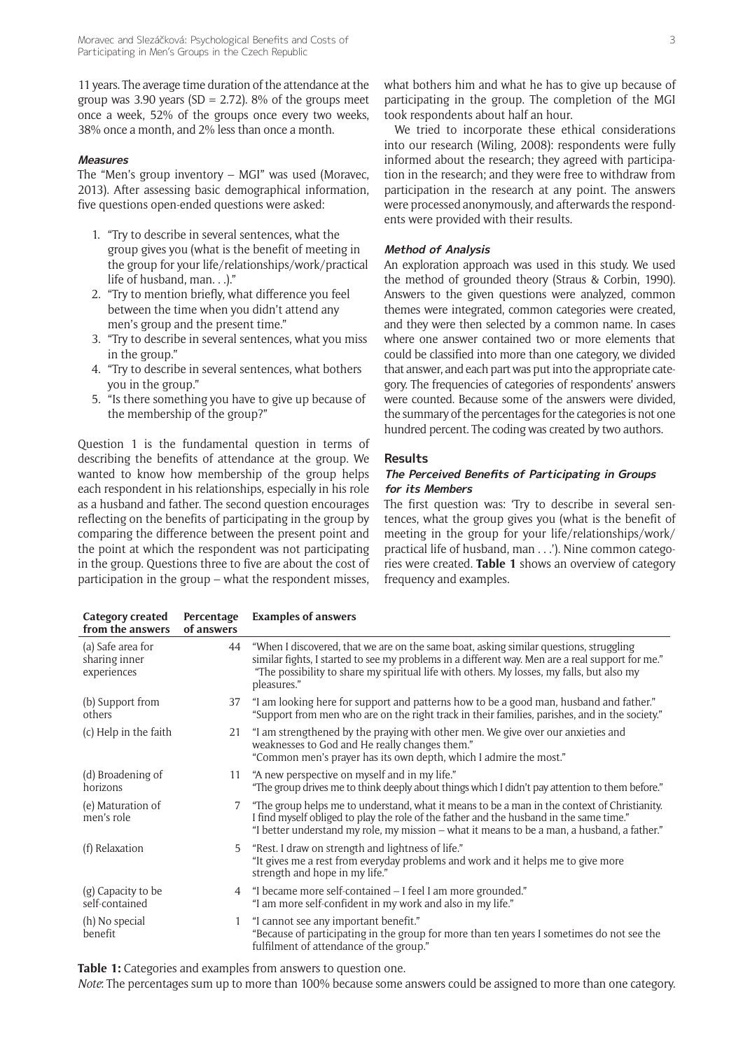11 years. The average time duration of the attendance at the group was 3.90 years (SD = 2.72). 8% of the groups meet once a week, 52% of the groups once every two weeks, 38% once a month, and 2% less than once a month.

#### **Measures**

The "Men's group inventory – MGI" was used (Moravec, 2013). After assessing basic demographical information, five questions open-ended questions were asked:

- 1. "Try to describe in several sentences, what the group gives you (what is the benefit of meeting in the group for your life/relationships/work/practical life of husband, man. . .)."
- 2. "Try to mention briefly, what difference you feel between the time when you didn't attend any men's group and the present time."
- 3. "Try to describe in several sentences, what you miss in the group."
- 4. "Try to describe in several sentences, what bothers you in the group."
- 5. "Is there something you have to give up because of the membership of the group?"

Question 1 is the fundamental question in terms of describing the benefits of attendance at the group. We wanted to know how membership of the group helps each respondent in his relationships, especially in his role as a husband and father. The second question encourages reflecting on the benefits of participating in the group by comparing the difference between the present point and the point at which the respondent was not participating in the group. Questions three to five are about the cost of participation in the group – what the respondent misses,

**Category created** 

We tried to incorporate these ethical considerations into our research (Wiling, 2008): respondents were fully informed about the research; they agreed with participation in the research; and they were free to withdraw from participation in the research at any point. The answers were processed anonymously, and afterwards the respondents were provided with their results.

#### **Method of Analysis**

An exploration approach was used in this study. We used the method of grounded theory (Straus & Corbin, 1990). Answers to the given questions were analyzed, common themes were integrated, common categories were created, and they were then selected by a common name. In cases where one answer contained two or more elements that could be classified into more than one category, we divided that answer, and each part was put into the appropriate category. The frequencies of categories of respondents' answers were counted. Because some of the answers were divided, the summary of the percentages for the categories is not one hundred percent. The coding was created by two authors.

#### **Results**

#### **The Perceived Benefits of Participating in Groups for its Members**

The first question was: 'Try to describe in several sentences, what the group gives you (what is the benefit of meeting in the group for your life/relationships/work/ practical life of husband, man . . .'). Nine common categories were created. **Table 1** shows an overview of category frequency and examples.

| Category created<br>from the answers              | Percentage<br>of answers | <b>Examples of answers</b>                                                                                                                                                                                                                                                                             |
|---------------------------------------------------|--------------------------|--------------------------------------------------------------------------------------------------------------------------------------------------------------------------------------------------------------------------------------------------------------------------------------------------------|
| (a) Safe area for<br>sharing inner<br>experiences | 44                       | "When I discovered, that we are on the same boat, asking similar questions, struggling<br>similar fights, I started to see my problems in a different way. Men are a real support for me."<br>"The possibility to share my spiritual life with others. My losses, my falls, but also my<br>pleasures." |
| (b) Support from<br>others                        | 37                       | "I am looking here for support and patterns how to be a good man, husband and father."<br>"Support from men who are on the right track in their families, parishes, and in the society."                                                                                                               |
| (c) Help in the faith                             |                          | 21 "I am strengthened by the praying with other men. We give over our anxieties and<br>weaknesses to God and He really changes them."<br>"Common men's prayer has its own depth, which I admire the most."                                                                                             |
| (d) Broadening of<br>horizons                     | 11                       | "A new perspective on myself and in my life."<br>"The group drives me to think deeply about things which I didn't pay attention to them before."                                                                                                                                                       |
| (e) Maturation of<br>men's role                   | $7^{\circ}$              | "The group helps me to understand, what it means to be a man in the context of Christianity.<br>I find myself obliged to play the role of the father and the husband in the same time."<br>"I better understand my role, my mission - what it means to be a man, a husband, a father."                 |
| (f) Relaxation                                    | 5                        | "Rest. I draw on strength and lightness of life."<br>"It gives me a rest from everyday problems and work and it helps me to give more<br>strength and hope in my life."                                                                                                                                |
| (g) Capacity to be<br>self-contained              | 4                        | "I became more self-contained – I feel I am more grounded."<br>"I am more self-confident in my work and also in my life."                                                                                                                                                                              |
| (h) No special<br><b>benefit</b>                  |                          | "I cannot see any important benefit."<br>"Because of participating in the group for more than ten years I sometimes do not see the<br>fulfilment of attendance of the group."                                                                                                                          |

**Table 1:** Categories and examples from answers to question one.

*Note*: The percentages sum up to more than 100% because some answers could be assigned to more than one category.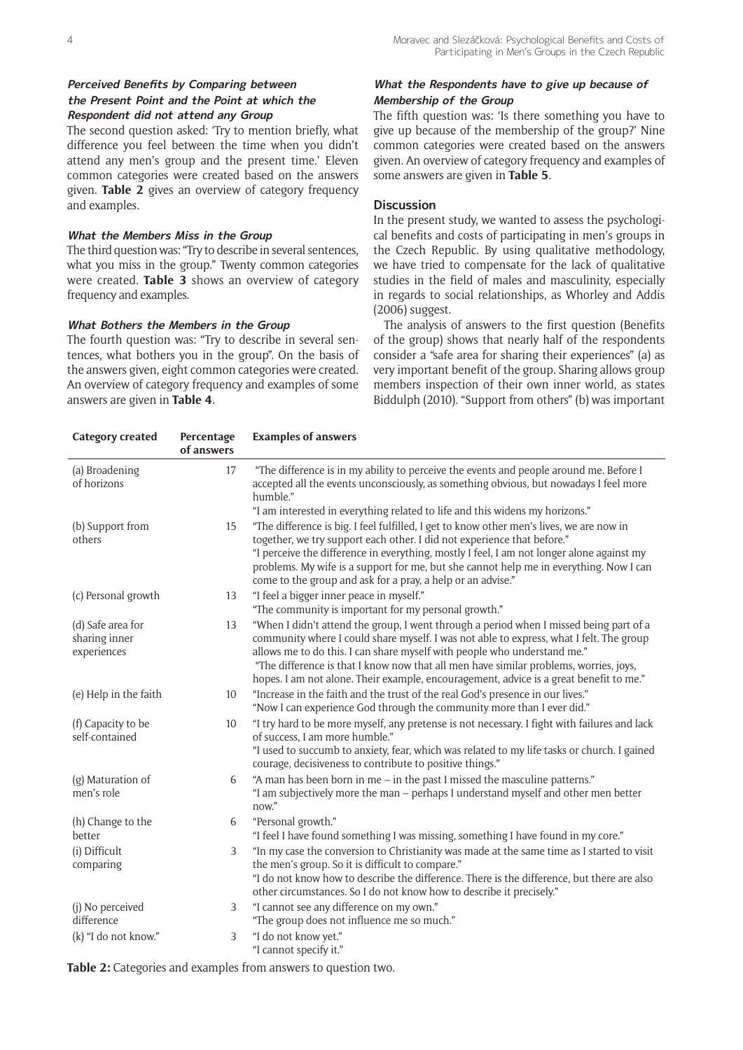## **Perceived Benefits by Comparing between the Present Point and the Point at which the Respondent did not attend any Group**

The second question asked: 'Try to mention briefly, what difference you feel between the time when you didn't attend any men's group and the present time.' Eleven common categories were created based on the answers given. **Table 2** gives an overview of category frequency and examples.

#### **What the Members Miss in the Group**

The third question was: "Try to describe in several sentences, what you miss in the group." Twenty common categories were created. **Table 3** shows an overview of category frequency and examples.

#### **What Bothers the Members in the Group**

The fourth question was: "Try to describe in several sentences, what bothers you in the group". On the basis of the answers given, eight common categories were created. An overview of category frequency and examples of some answers are given in **Table 4**.

# **What the Respondents have to give up because of Membership of the Group**

The fifth question was: 'Is there something you have to give up because of the membership of the group?' Nine common categories were created based on the answers given. An overview of category frequency and examples of some answers are given in **Table 5**.

#### **Discussion**

In the present study, we wanted to assess the psychological benefits and costs of participating in men's groups in the Czech Republic. By using qualitative methodology, we have tried to compensate for the lack of qualitative studies in the field of males and masculinity, especially in regards to social relationships, as Whorley and Addis (2006) suggest.

The analysis of answers to the first question (Benefits of the group) shows that nearly half of the respondents consider a "safe area for sharing their experiences" (a) as very important benefit of the group. Sharing allows group members inspection of their own inner world, as states Biddulph (2010). "Support from others" (b) was important

| <b>Category created</b>                           | Percentage<br>of answers | <b>Examples of answers</b>                                                                                                                                                                                                                                                                                                                                                                                                                       |
|---------------------------------------------------|--------------------------|--------------------------------------------------------------------------------------------------------------------------------------------------------------------------------------------------------------------------------------------------------------------------------------------------------------------------------------------------------------------------------------------------------------------------------------------------|
| (a) Broadening<br>of horizons                     | 17                       | "The difference is in my ability to perceive the events and people around me. Before I<br>accepted all the events unconsciously, as something obvious, but nowadays I feel more<br>humble."<br>"I am interested in everything related to life and this widens my horizons."                                                                                                                                                                      |
| (b) Support from<br>others                        | 15                       | "The difference is big. I feel fulfilled, I get to know other men's lives, we are now in<br>together, we try support each other. I did not experience that before."<br>"I perceive the difference in everything, mostly I feel, I am not longer alone against my<br>problems. My wife is a support for me, but she cannot help me in everything. Now I can<br>come to the group and ask for a pray, a help or an advise."                        |
| (c) Personal growth                               | 13                       | "I feel a bigger inner peace in myself."<br>"The community is important for my personal growth."                                                                                                                                                                                                                                                                                                                                                 |
| (d) Safe area for<br>sharing inner<br>experiences | 13                       | "When I didn't attend the group, I went through a period when I missed being part of a<br>community where I could share myself. I was not able to express, what I felt. The group<br>allows me to do this. I can share myself with people who understand me."<br>"The difference is that I know now that all men have similar problems, worries, joys,<br>hopes. I am not alone. Their example, encouragement, advice is a great benefit to me." |
| (e) Help in the faith                             | 10                       | "Increase in the faith and the trust of the real God's presence in our lives."<br>"Now I can experience God through the community more than I ever did."                                                                                                                                                                                                                                                                                         |
| (f) Capacity to be<br>self-contained              | 10                       | "I try hard to be more myself, any pretense is not necessary. I fight with failures and lack<br>of success. I am more humble."<br>"I used to succumb to anxiety, fear, which was related to my life tasks or church. I gained<br>courage, decisiveness to contribute to positive things."                                                                                                                                                        |
| (g) Maturation of<br>men's role                   | 6                        | "A man has been born in me - in the past I missed the masculine patterns."<br>"I am subjectively more the man - perhaps I understand myself and other men better<br>now."                                                                                                                                                                                                                                                                        |
| (h) Change to the<br>better                       | 6                        | "Personal growth."<br>"I feel I have found something I was missing, something I have found in my core."                                                                                                                                                                                                                                                                                                                                          |
| (i) Difficult<br>comparing                        | 3                        | "In my case the conversion to Christianity was made at the same time as I started to visit<br>the men's group. So it is difficult to compare."<br>"I do not know how to describe the difference. There is the difference, but there are also<br>other circumstances. So I do not know how to describe it precisely."                                                                                                                             |
| (j) No perceived<br>difference                    | 3                        | "I cannot see any difference on my own."<br>"The group does not influence me so much."                                                                                                                                                                                                                                                                                                                                                           |
| (k) "I do not know."                              | 3                        | "I do not know yet."<br>"I cannot specify it."                                                                                                                                                                                                                                                                                                                                                                                                   |

**Table 2:** Categories and examples from answers to question two.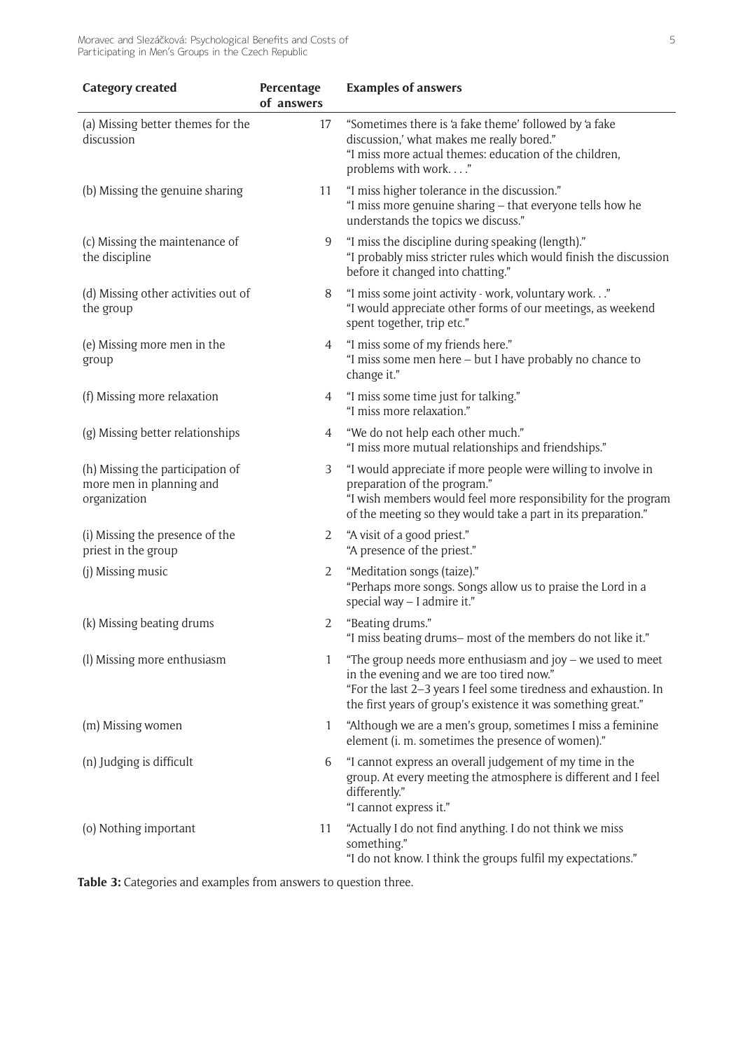Moravec and Slezáčková: Psychological Benefits and Costs of Participating in Men's Groups in the Czech Republic

| <b>Category created</b>                                                      | Percentage<br>of answers | <b>Examples of answers</b>                                                                                                                                                                                                                     |
|------------------------------------------------------------------------------|--------------------------|------------------------------------------------------------------------------------------------------------------------------------------------------------------------------------------------------------------------------------------------|
| (a) Missing better themes for the<br>discussion                              | 17                       | "Sometimes there is 'a fake theme' followed by 'a fake<br>discussion,' what makes me really bored."<br>"I miss more actual themes: education of the children,<br>problems with work"                                                           |
| (b) Missing the genuine sharing                                              | 11                       | "I miss higher tolerance in the discussion."<br>"I miss more genuine sharing - that everyone tells how he<br>understands the topics we discuss."                                                                                               |
| (c) Missing the maintenance of<br>the discipline                             | 9                        | "I miss the discipline during speaking (length)."<br>"I probably miss stricter rules which would finish the discussion<br>before it changed into chatting."                                                                                    |
| (d) Missing other activities out of<br>the group                             | 8                        | "I miss some joint activity - work, voluntary work"<br>"I would appreciate other forms of our meetings, as weekend<br>spent together, trip etc."                                                                                               |
| (e) Missing more men in the<br>group                                         | 4                        | "I miss some of my friends here."<br>"I miss some men here - but I have probably no chance to<br>change it."                                                                                                                                   |
| (f) Missing more relaxation                                                  | 4                        | "I miss some time just for talking."<br>"I miss more relaxation."                                                                                                                                                                              |
| (g) Missing better relationships                                             | 4                        | "We do not help each other much."<br>"I miss more mutual relationships and friendships."                                                                                                                                                       |
| (h) Missing the participation of<br>more men in planning and<br>organization | 3                        | "I would appreciate if more people were willing to involve in<br>preparation of the program."<br>"I wish members would feel more responsibility for the program<br>of the meeting so they would take a part in its preparation."               |
| (i) Missing the presence of the<br>priest in the group                       | 2                        | "A visit of a good priest."<br>"A presence of the priest."                                                                                                                                                                                     |
| (j) Missing music                                                            | 2                        | "Meditation songs (taize)."<br>"Perhaps more songs. Songs allow us to praise the Lord in a<br>special way - I admire it."                                                                                                                      |
| (k) Missing beating drums                                                    | 2                        | "Beating drums."<br>"I miss beating drums- most of the members do not like it."                                                                                                                                                                |
| (I) Missing more enthusiasm                                                  | 1                        | "The group needs more enthusiasm and joy $-$ we used to meet<br>in the evening and we are too tired now."<br>"For the last 2-3 years I feel some tiredness and exhaustion. In<br>the first years of group's existence it was something great." |
| (m) Missing women                                                            | 1                        | "Although we are a men's group, sometimes I miss a feminine<br>element (i. m. sometimes the presence of women)."                                                                                                                               |
| (n) Judging is difficult                                                     | 6                        | "I cannot express an overall judgement of my time in the<br>group. At every meeting the atmosphere is different and I feel<br>differently."<br>"I cannot express it."                                                                          |
| (o) Nothing important                                                        | 11                       | "Actually I do not find anything. I do not think we miss<br>something."<br>"I do not know. I think the groups fulfil my expectations."                                                                                                         |

**Table 3:** Categories and examples from answers to question three.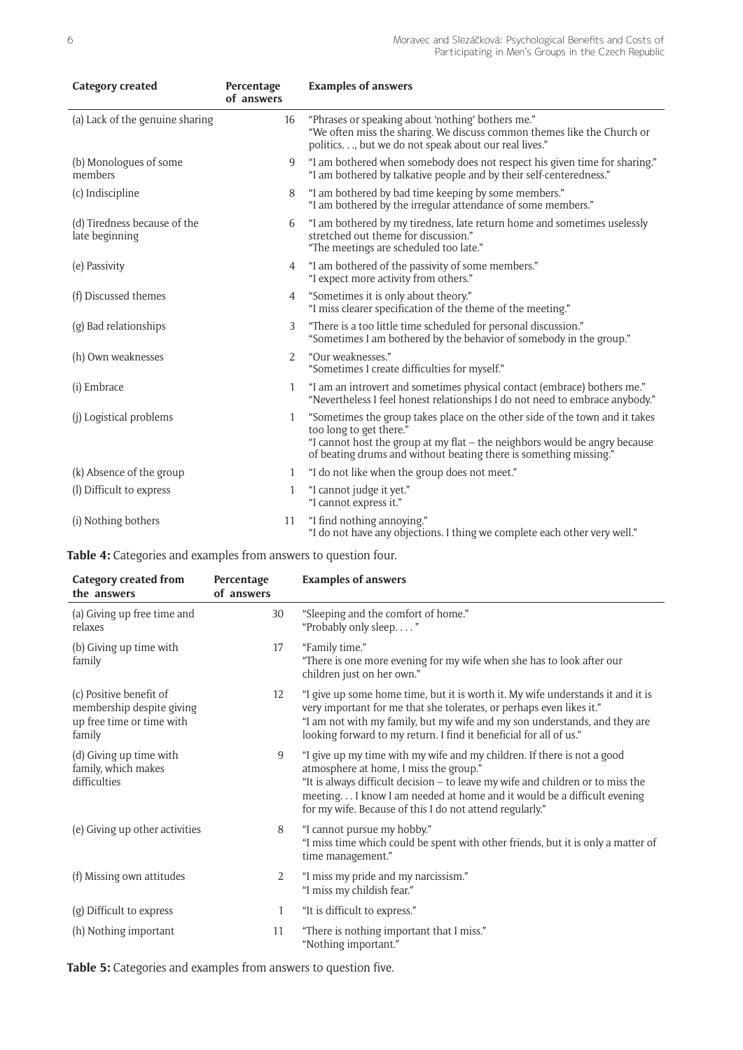| <b>Category created</b>                        | Percentage<br>of answers | <b>Examples of answers</b>                                                                                                                                                                                                                                |
|------------------------------------------------|--------------------------|-----------------------------------------------------------------------------------------------------------------------------------------------------------------------------------------------------------------------------------------------------------|
| (a) Lack of the genuine sharing                | 16                       | "Phrases or speaking about 'nothing' bothers me."<br>"We often miss the sharing. We discuss common themes like the Church or<br>politics, but we do not speak about our real lives."                                                                      |
| (b) Monologues of some<br>members              | 9                        | "I am bothered when somebody does not respect his given time for sharing."<br>"I am bothered by talkative people and by their self-centeredness."                                                                                                         |
| (c) Indiscipline                               | 8                        | "I am bothered by bad time keeping by some members."<br>"I am bothered by the irregular attendance of some members."                                                                                                                                      |
| (d) Tiredness because of the<br>late beginning | 6                        | "I am bothered by my tiredness, late return home and sometimes uselessly<br>stretched out theme for discussion."<br>"The meetings are scheduled too late."                                                                                                |
| (e) Passivity                                  | 4                        | "I am bothered of the passivity of some members."<br>"I expect more activity from others."                                                                                                                                                                |
| (f) Discussed themes                           | 4                        | "Sometimes it is only about theory."<br>"I miss clearer specification of the theme of the meeting."                                                                                                                                                       |
| (g) Bad relationships                          | 3                        | "There is a too little time scheduled for personal discussion."<br>"Sometimes I am bothered by the behavior of somebody in the group."                                                                                                                    |
| (h) Own weaknesses                             | $\overline{2}$           | "Our weaknesses."<br>"Sometimes I create difficulties for myself."                                                                                                                                                                                        |
| (i) Embrace                                    | $\mathbf{1}$             | "I am an introvert and sometimes physical contact (embrace) bothers me."<br>"Nevertheless I feel honest relationships I do not need to embrace anybody."                                                                                                  |
| (j) Logistical problems                        | 1                        | "Sometimes the group takes place on the other side of the town and it takes<br>too long to get there."<br>"I cannot host the group at my flat – the neighbors would be angry because<br>of beating drums and without beating there is something missing." |
| (k) Absence of the group                       | 1                        | "I do not like when the group does not meet."                                                                                                                                                                                                             |
| (l) Difficult to express                       | $\mathbf{1}$             | "I cannot judge it yet."<br>"I cannot express it."                                                                                                                                                                                                        |
| (i) Nothing bothers                            | 11                       | "I find nothing annoying."<br>"I do not have any objections. I thing we complete each other very well."                                                                                                                                                   |

**Table 4:** Categories and examples from answers to question four.

| <b>Category created from</b><br>the answers                                                 | Percentage<br>of answers | <b>Examples of answers</b>                                                                                                                                                                                                                                                                                                                 |
|---------------------------------------------------------------------------------------------|--------------------------|--------------------------------------------------------------------------------------------------------------------------------------------------------------------------------------------------------------------------------------------------------------------------------------------------------------------------------------------|
| (a) Giving up free time and<br>relaxes                                                      | 30                       | "Sleeping and the comfort of home."<br>"Probably only sleep. "                                                                                                                                                                                                                                                                             |
| (b) Giving up time with<br>family                                                           | 17                       | "Family time."<br>"There is one more evening for my wife when she has to look after our<br>children just on her own."                                                                                                                                                                                                                      |
| (c) Positive benefit of<br>membership despite giving<br>up free time or time with<br>family | 12                       | "I give up some home time, but it is worth it. My wife understands it and it is<br>very important for me that she tolerates, or perhaps even likes it."<br>"I am not with my family, but my wife and my son understands, and they are<br>looking forward to my return. I find it beneficial for all of us."                                |
| (d) Giving up time with<br>family, which makes<br>difficulties                              | 9                        | "I give up my time with my wife and my children. If there is not a good<br>atmosphere at home, I miss the group."<br>"It is always difficult decision - to leave my wife and children or to miss the<br>meeting I know I am needed at home and it would be a difficult evening<br>for my wife. Because of this I do not attend regularly." |
| (e) Giving up other activities                                                              | 8                        | "I cannot pursue my hobby."<br>"I miss time which could be spent with other friends, but it is only a matter of<br>time management."                                                                                                                                                                                                       |
| (f) Missing own attitudes                                                                   | 2                        | "I miss my pride and my narcissism."<br>"I miss my childish fear."                                                                                                                                                                                                                                                                         |
| (g) Difficult to express                                                                    | 1                        | "It is difficult to express."                                                                                                                                                                                                                                                                                                              |
| (h) Nothing important                                                                       | 11                       | "There is nothing important that I miss."<br>"Nothing important."                                                                                                                                                                                                                                                                          |

**Table 5:** Categories and examples from answers to question five.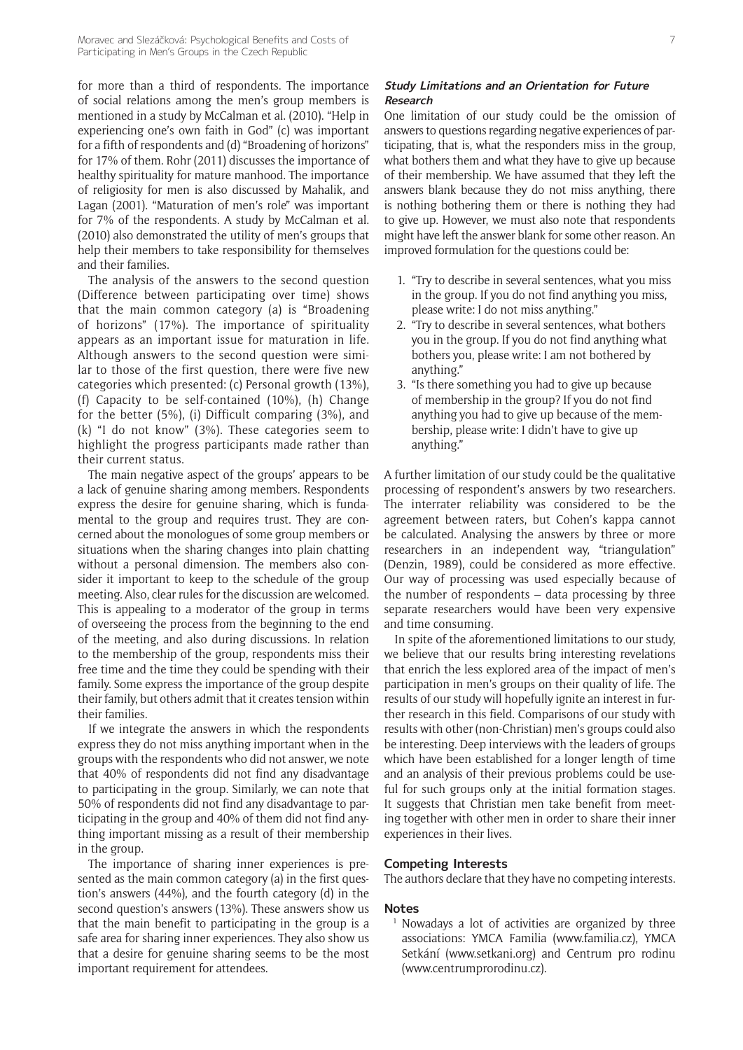for more than a third of respondents. The importance of social relations among the men's group members is mentioned in a study by McCalman et al. (2010). "Help in experiencing one's own faith in God" (c) was important for a fifth of respondents and (d) "Broadening of horizons" for 17% of them. Rohr (2011) discusses the importance of healthy spirituality for mature manhood. The importance of religiosity for men is also discussed by Mahalik, and Lagan (2001). "Maturation of men's role" was important for 7% of the respondents. A study by McCalman et al. (2010) also demonstrated the utility of men's groups that help their members to take responsibility for themselves and their families.

The analysis of the answers to the second question (Difference between participating over time) shows that the main common category (a) is "Broadening of horizons" (17%). The importance of spirituality appears as an important issue for maturation in life. Although answers to the second question were similar to those of the first question, there were five new categories which presented: (c) Personal growth (13%), (f) Capacity to be self-contained (10%), (h) Change for the better (5%), (i) Difficult comparing (3%), and (k) "I do not know" (3%). These categories seem to highlight the progress participants made rather than their current status.

The main negative aspect of the groups' appears to be a lack of genuine sharing among members. Respondents express the desire for genuine sharing, which is fundamental to the group and requires trust. They are concerned about the monologues of some group members or situations when the sharing changes into plain chatting without a personal dimension. The members also consider it important to keep to the schedule of the group meeting. Also, clear rules for the discussion are welcomed. This is appealing to a moderator of the group in terms of overseeing the process from the beginning to the end of the meeting, and also during discussions. In relation to the membership of the group, respondents miss their free time and the time they could be spending with their family. Some express the importance of the group despite their family, but others admit that it creates tension within their families.

If we integrate the answers in which the respondents express they do not miss anything important when in the groups with the respondents who did not answer, we note that 40% of respondents did not find any disadvantage to participating in the group. Similarly, we can note that 50% of respondents did not find any disadvantage to participating in the group and 40% of them did not find anything important missing as a result of their membership in the group.

The importance of sharing inner experiences is presented as the main common category (a) in the first question's answers (44%), and the fourth category (d) in the second question's answers (13%). These answers show us that the main benefit to participating in the group is a safe area for sharing inner experiences. They also show us that a desire for genuine sharing seems to be the most important requirement for attendees.

#### **Study Limitations and an Orientation for Future Research**

One limitation of our study could be the omission of answers to questions regarding negative experiences of participating, that is, what the responders miss in the group, what bothers them and what they have to give up because of their membership. We have assumed that they left the answers blank because they do not miss anything, there is nothing bothering them or there is nothing they had to give up. However, we must also note that respondents might have left the answer blank for some other reason. An improved formulation for the questions could be:

- 1. "Try to describe in several sentences, what you miss in the group. If you do not find anything you miss, please write: I do not miss anything."
- 2. "Try to describe in several sentences, what bothers you in the group. If you do not find anything what bothers you, please write: I am not bothered by anything."
- 3. "Is there something you had to give up because of membership in the group? If you do not find anything you had to give up because of the membership, please write: I didn't have to give up anything."

A further limitation of our study could be the qualitative processing of respondent's answers by two researchers. The interrater reliability was considered to be the agreement between raters, but Cohen's kappa cannot be calculated. Analysing the answers by three or more researchers in an independent way, "triangulation" (Denzin, 1989), could be considered as more effective. Our way of processing was used especially because of the number of respondents – data processing by three separate researchers would have been very expensive and time consuming.

In spite of the aforementioned limitations to our study, we believe that our results bring interesting revelations that enrich the less explored area of the impact of men's participation in men's groups on their quality of life. The results of our study will hopefully ignite an interest in further research in this field. Comparisons of our study with results with other (non-Christian) men's groups could also be interesting. Deep interviews with the leaders of groups which have been established for a longer length of time and an analysis of their previous problems could be useful for such groups only at the initial formation stages. It suggests that Christian men take benefit from meeting together with other men in order to share their inner experiences in their lives.

#### **Competing Interests**

The authors declare that they have no competing interests.

#### **Notes**

<sup>1</sup> Nowadays a lot of activities are organized by three associations: YMCA Familia [\(www.familia.cz](http://www.familia.cz)), YMCA Setkání (www.setkani.org) and Centrum pro rodinu ([www.centrumprorodinu.cz](http://www.centrumprorodinu.cz/)).